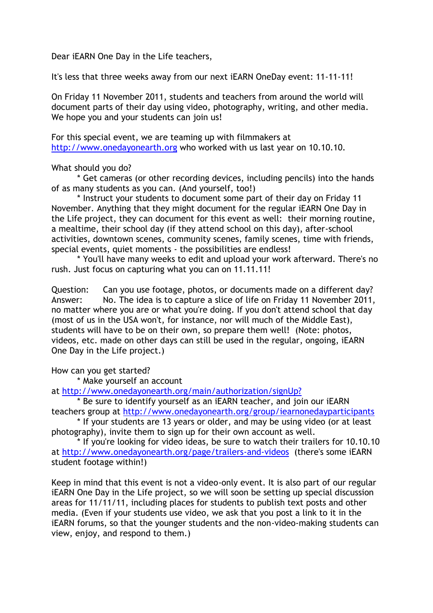Dear iEARN One Day in the Life teachers,

It's less that three weeks away from our next iEARN OneDay event: 11-11-11!

On Friday 11 November 2011, students and teachers from around the world will document parts of their day using video, photography, writing, and other media. We hope you and your students can join us!

For this special event, we are teaming up with filmmakers at [http://www.onedayonearth.org](http://www.onedayonearth.org/) who worked with us last year on 10.10.10.

## What should you do?

\* Get cameras (or other recording devices, including pencils) into the hands of as many students as you can. (And yourself, too!)

\* Instruct your students to document some part of their day on Friday 11 November. Anything that they might document for the regular iEARN One Day in the Life project, they can document for this event as well: their morning routine, a mealtime, their school day (if they attend school on this day), after-school activities, downtown scenes, community scenes, family scenes, time with friends, special events, quiet moments - the possibilities are endless!

\* You'll have many weeks to edit and upload your work afterward. There's no rush. Just focus on capturing what you can on 11.11.11!

Question: Can you use footage, photos, or documents made on a different day? Answer: No. The idea is to capture a slice of life on Friday 11 November 2011, no matter where you are or what you're doing. If you don't attend school that day (most of us in the USA won't, for instance, nor will much of the Middle East), students will have to be on their own, so prepare them well! (Note: photos, videos, etc. made on other days can still be used in the regular, ongoing, iEARN One Day in the Life project.)

How can you get started?

\* Make yourself an account

at <http://www.onedayonearth.org/main/authorization/signUp?>

\* Be sure to identify yourself as an iEARN teacher, and join our iEARN teachers group at <http://www.onedayonearth.org/group/iearnonedayparticipants>

\* If your students are 13 years or older, and may be using video (or at least photography), invite them to sign up for their own account as well.

\* If you're looking for video ideas, be sure to watch their trailers for 10.10.10 at <http://www.onedayonearth.org/page/trailers-and-videos> (there's some iEARN student footage within!)

Keep in mind that this event is not a video-only event. It is also part of our regular iEARN One Day in the Life project, so we will soon be setting up special discussion areas for 11/11/11, including places for students to publish text posts and other media. (Even if your students use video, we ask that you post a link to it in the iEARN forums, so that the younger students and the non-video-making students can view, enjoy, and respond to them.)